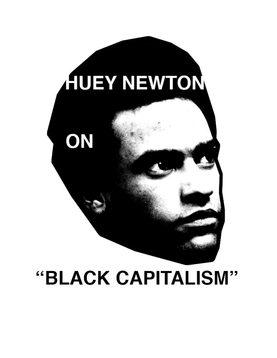

# "BLACK CAPITALISM"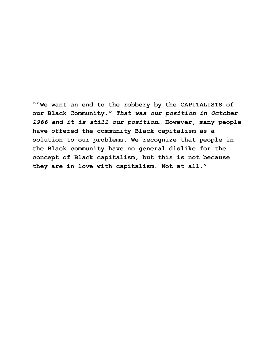**""We want an end to the robbery by the CAPITALISTS of our Black Community."** *That was our position in October 1966 and it is still our position…* **However, many people have offered the community Black capitalism as a solution to our problems. We recognize that people in the Black community have no general dislike for the concept of Black capitalism, but this is not because they are in love with capitalism. Not at all."**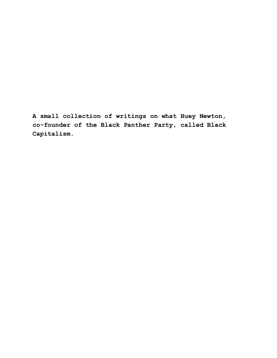**A small collection of writings on what Huey Newton, co-founder of the Black Panther Party, called Black Capitalism.**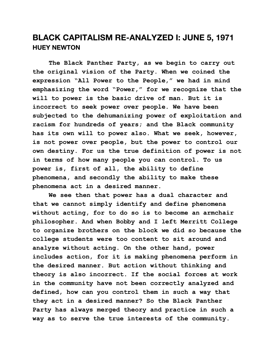#### **BLACK CAPITALISM RE-ANALYZED I: JUNE 5, 1971 HUEY NEWTON**

**The Black Panther Party, as we begin to carry out the original vision of the Party. When we coined the expression "All Power to the People," we had in mind emphasizing the word "Power," for we recognize that the will to power is the basic drive of man. But it is incorrect to seek power over people. We have been subjected to the dehumanizing power of exploitation and racism for hundreds of years; and the Black community has its own will to power also. What we seek, however, is not power over people, but the power to control our own destiny. For us the true definition of power is not in terms of how many people you can control. To us power is, first of all, the ability to define phenomena, and secondly the ability to make these phenomena act in a desired manner.**

**We see then that power has a dual character and that we cannot simply identify and define phenomena without acting, for to do so is to become an armchair philosopher. And when Bobby and I left Merritt College to organize brothers on the block we did so because the college students were too content to sit around and analyze without acting. On the other hand, power includes action, for it is making phenomena perform in the desired manner. But action without thinking and theory is also incorrect. If the social forces at work in the community have not been correctly analyzed and defined, how can you control them in such a way that they act in a desired manner? So the Black Panther Party has always merged theory and practice in such a way as to serve the true interests of the community.**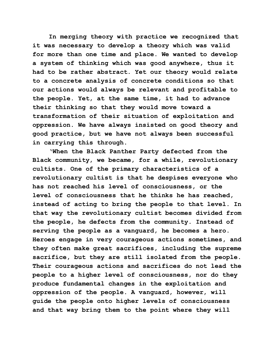**In merging theory with practice we recognized that it was necessary to develop a theory which was valid for more than one time and place. We wanted to develop a system of thinking which was good anywhere, thus it had to be rather abstract. Yet our theory would relate to a concrete analysis of concrete conditions so that our actions would always be relevant and profitable to the people. Yet, at the same time, it had to advance their thinking so that they would move toward a transformation of their situation of exploitation and oppression. We have always insisted on good theory and good practice, but we have not always been successful in carrying this through.**

**'When the Black Panther Party defected from the Black community, we became, for a while, revolutionary cultists. One of the primary characteristics of a revolutionary cultist is that he despises everyone who has not reached his level of consciousness, or the level of consciousness that he thinks he has reached, instead of acting to bring the people to that level. In that way the revolutionary cultist becomes divided from the people, he defects from the community. Instead of serving the people as a vanguard, he becomes a hero. Heroes engage in very courageous actions sometimes, and they often make great sacrifices, including the supreme sacrifice, but they are still isolated from the people. Their courageous actions and sacrifices do not lead the people to a higher level of consciousness, nor do they produce fundamental changes in the exploitation and oppression of the people. A vanguard, however, will guide the people onto higher levels of consciousness and that way bring them to the point where they will**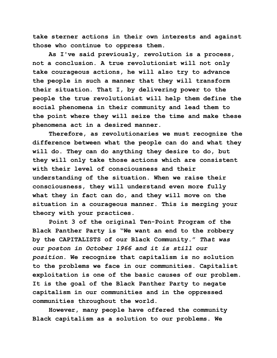**take sterner actions in their own interests and against those who continue to oppress them.**

**As I've said previously, revolution is a process, not a conclusion. A true revolutionist will not only take courageous actions, he will also try to advance the people in such a manner that they will transform their situation. That I, by delivering power to the people the true revolutionist will help them define the social phenomena in their community and lead them to the point where they will seize the time and make these phenomena act in a desired manner.**

**Therefore, as revolutionaries we must recognize the difference between what the people can do and what they will do. They can do anything they desire to do, but they will only take those actions which are consistent with their level of consciousness and their understanding of the situation. When we raise their consciousness, they will understand even more fully what they in fact can do, and they will move on the situation in a courageous manner. This is merging your theory with your practices.**

**Point 3 of the original Ten-Point Program of the Black Panther Party is "We want an end to the robbery by the CAPITALISTS of our Black Community."** *That was our poston in October 1966 and it is still our position.* **We recognize that capitalism is no solution to the problems we face in our communities. Capitalist exploitation is one of the basic causes of our problem. It is the goal of the Black Panther Party to negate capitalism in our communities and in the oppressed communities throughout the world.**

**However, many people have offered the community Black capitalism as a solution to our problems. We**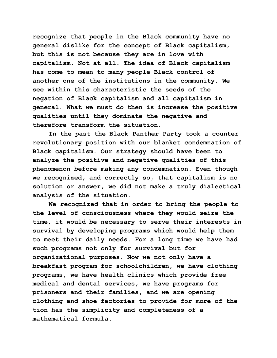**recognize that people in the Black community have no general dislike for the concept of Black capitalism, but this is not because they are in love with capitalism. Not at all. The idea of Black capitalism has come to mean to many people Black control of another one of the institutions in the community. We see within this characteristic the seeds of the negation of Black capitalism and all capitalism in general. What we must do then is increase the positive qualities until they dominate the negative and therefore transform the situation.**

**In the past the Black Panther Party took a counter revolutionary position with our blanket condemnation of Black capitalism. Our strategy should have been to analyze the positive and negative qualities of this phenomenon before making any condemnation. Even though we recognized, and correctly so, that capitalism is no solution or answer, we did not make a truly dialectical analysis of the situation.**

**We recognized that in order to bring the people to the level of consciousness where they would seize the time, it would be necessary to serve their interests in survival by developing programs which would help them to meet their daily needs. For a long time we have had such programs not only for survival but for organizational purposes. Now we not only have a breakfast program for schoolchildren, we have clothing programs, we have health clinics which provide free medical and dental services, we have programs for prisoners and their families, and we are opening clothing and shoe factories to provide for more of the tion has the simplicity and completeness of a mathematical formula.**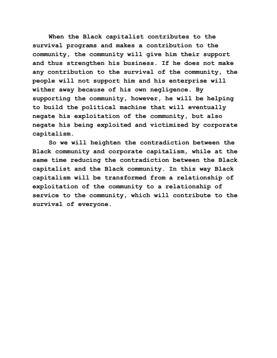**When the Black capitalist contributes to the survival programs and makes a contribution to the community, the community will give him their support and thus strengthen his business. If he does not make any contribution to the survival of the community, the people will not support him and his enterprise will wither away because of his own negligence. By supporting the community, however, he will be helping to build the political machine that will eventually negate his exploitation of the community, but also negate his being exploited and victimized by corporate capitalism.**

**So we will heighten the contradiction between the Black community and corporate capitalism, while at the same time reducing the contradiction between the Black capitalist and the Black community. In this way Black capitalism will be transformed from a relationship of exploitation of the community to a relationship of service to the community, which will contribute to the survival of everyone.**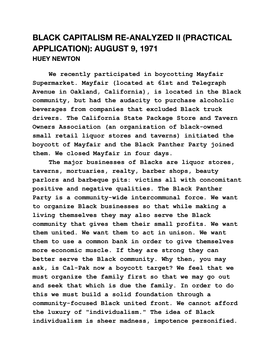## **BLACK CAPITALISM RE-ANALYZED II (PRACTICAL APPLICATION): AUGUST 9, 1971 HUEY NEWTON**

**We recently participated in boycotting Mayfair Supermarket. Mayfair (located at 61st and Telegraph Avenue in Oakland, California), is located in the Black community, but had the audacity to purchase alcoholic beverages from companies that excluded Black truck drivers. The California State Package Store and Tavern Owners Association (an organization of black-owned small retail liquor stores and taverns) initiated the boycott of Mayfair and the Black Panther Party joined them. We closed Mayfair in four days.**

**The major businesses of Blacks are liquor stores, taverns, mortuaries, realty, barber shops, beauty parlors and barbeque pits: victims all with concomitant positive and negative qualities. The Black Panther Party is a community-wide intercommunal force. We want to organize Black businesses so that while making a living themselves they may also serve the Black community that gives them their small profits. We want them united. We want them to act in unison. We want them to use a common bank in order to give themselves more economic muscle. If they are strong they can better serve the Black community. Why then, you may ask, is Cal-Pak now a boycott target? We feel that we must organize the family first so that we may go out and seek that which is due the family. In order to do this we must build a solid foundation through a community-focused Black united front. We cannot afford the luxury of "individualism." The idea of Black individualism is sheer madness, impotence personified.**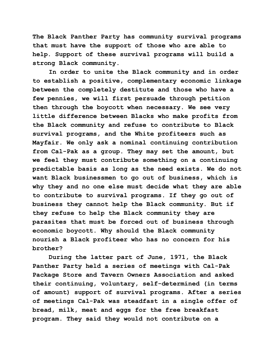**The Black Panther Party has community survival programs that must have the support of those who are able to help. Support of these survival programs will build a strong Black community.**

**In order to unite the Black community and in order to establish a positive, complementary economic linkage between the completely destitute and those who have a few pennies, we will first persuade through petition then through the boycott when necessary. We see very little difference between Blacks who make profits from the Black community and refuse to contribute to Black survival programs, and the White profiteers such as Mayfair. We only ask a nominal continuing contribution from Cal-Pak as a group. They may set the amount, but we feel they must contribute something on a continuing predictable basis as long as the need exists. We do not want Black businessmen to go out of business, which is why they and no one else must decide what they are able to contribute to survival programs. If they go out of business they cannot help the Black community. But if they refuse to help the Black community they are parasites that must be forced out of business through economic boycott. Why should the Black community nourish a Black profiteer who has no concern for his brother?**

**During the latter part of June, 1971, the Black Panther Party held a series of meetings with Cal-Pak Package Store and Tavern Owners Association and asked their continuing, voluntary, self-determined (in terms of amount) support of survival programs. After a series of meetings Cal-Pak was steadfast in a single offer of bread, milk, meat and eggs for the free breakfast program. They said they would not contribute on a**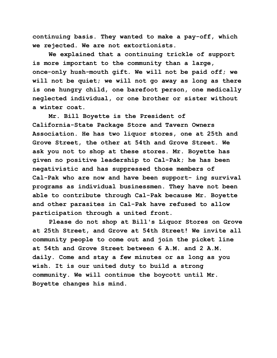**continuing basis. They wanted to make a pay-off, which we rejected. We are not extortionists.**

**We explained that a continuing trickle of support is more important to the community than a large, once-only hush-mouth gift. We will not be paid off; we will not be quiet; we will not go away as long as there is one hungry child, one barefoot person, one medically neglected individual, or one brother or sister without a winter coat.**

**Mr. Bill Boyette is the President of California-State Package Store and Tavern Owners Association. He has two liquor stores, one at 25th and Grove Street, the other at 54th and Grove Street. We ask you not to shop at these stores. Mr. Boyette has given no positive leadership to Cal-Pak; he has been negativistic and has suppressed those members of Cal-Pak who are now and have been support- ing survival programs as individual businessmen. They have not been able to contribute through Cal-Pak because Mr. Boyette and other parasites in Cal-Pak have refused to allow participation through a united front.**

**Please do not shop at Bill's Liquor Stores on Grove at 25th Street, and Grove at 54th Street! We invite all community people to come out and join the picket line at 54th and Grove Street between 6 A.M. and 2 A.M. daily. Come and stay a few minutes or as long as you wish. It is our united duty to build a strong community. We will continue the boycott until Mr. Boyette changes his mind.**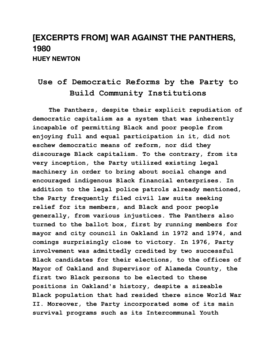### **[EXCERPTS FROM] WAR AGAINST THE PANTHERS, 1980 HUEY NEWTON**

#### **Use of Democratic Reforms by the Party to Build Community Institutions**

**The Panthers, despite their explicit repudiation of democratic capitalism as a system that was inherently incapable of permitting Black and poor people from enjoying full and equal participation in it, did not eschew democratic means of reform, nor did they discourage Black capitalism. To the contrary, from its very inception, the Party utilized existing legal machinery in order to bring about social change and encouraged indigenous Black financial enterprises. In addition to the legal police patrols already mentioned, the Party frequently filed civil law suits seeking relief for its members, and Black and poor people generally, from various injustices. The Panthers also turned to the ballot box, first by running members for mayor and city council in Oakland in 1972 and 1974, and comings surprisingly close to victory. In 1976, Party involvement was admittedly credited by two successful Black candidates for their elections, to the offices of Mayor of Oakland and Supervisor of Alameda County, the first two Black persons to be elected to these positions in Oakland's history, despite a sizeable Black population that had resided there since World War II. Moreover, the Party incorporated some of its main survival programs such as its Intercommunal Youth**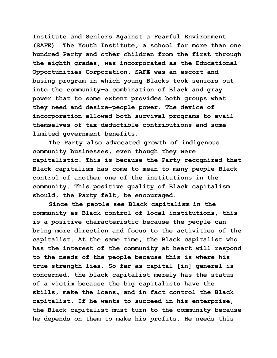**Institute and Seniors Against a Fearful Environment (SAFE). The Youth Institute, a school for more than one hundred Party and other children from the first through the eighth grades, was incorporated as the Educational Opportunities Corporation. SAFE was an escort and busing program in which young Blacks took seniors out into the community—a combination of Black and gray power that to some extent provides both groups what they need and desire—people power. The device of incorporation allowed both survival programs to avail themselves of tax-deductible contributions and some limited government benefits.**

**The Party also advocated growth of indigenous community businesses, even though they were capitalistic. This is because the Party recognized that Black capitalism has come to mean to many people Black control of another one of the institutions in the community. This positive quality of Black capitalism should, the Party felt, be encouraged.**

**Since the people see Black capitalism in the community as Black control of local institutions, this is a positive characteristic because the people can bring more direction and focus to the activities of the capitalist. At the same time, the Black capitalist who has the interest of the community at heart will respond to the needs of the people because this is where his true strength lies. So far as capital [in] general is concerned, the black capitalist merely has the status of a victim because the big capitalists have the skills, make the loans" and in fact control the Black capitalist. If he wants to succeed in his enterprise, the Black capitalist must turn to the community because he depends on them to make his profits. He needs this**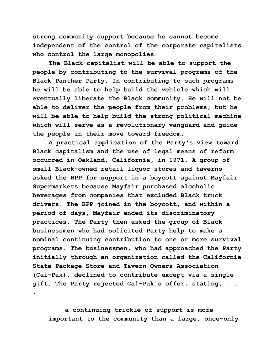**strong community support because he cannot become independent of the control of the corporate capitalists who control the large monopolies.**

**The Black capitalist will be able to support the people by contributing to the survival programs of the Black Panther Party. In contributing to such programs he will be able to help build the vehicle which will eventually liberate the Black community. He will not be able to deliver the people from their problems, but he will be able to help build the strong political machine which will serve as a revolutionary vanguard and guide the people in their move toward freedom.**

**A practical application of the Party's view toward Black capitalism and the use of legal means of reform occurred in Oakland, California, in 1971. A group of small Black-owned retail liquor stores and taverns asked the BPP for support in a boycott against Mayfair Supermarkets because Mayfair purchased alcoholic beverages from companies that excluded Black truck drivers. The BPP joined in the boycott, and within a period of days, Mayfair ended its discriminatory practices. The Party then asked the group of Black businessmen who had solicited Party help to make a nominal continuing contribution to one or more survival programs. The businessmen, who had approached the Party initially through an organization called the California State Package Store and Tavern Owners Association (Cal-Pak), declined to contribute except via a single gift. The Party rejected Cal-Pak's offer, stating, . .**

**a continuing trickle of support is more important to the community than a large, once-only**

**.**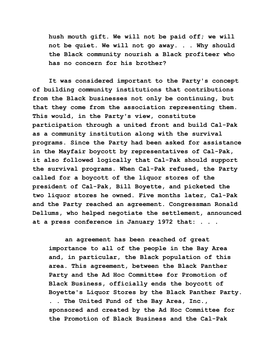**hush mouth gift. We will not be paid off; we will not be quiet. We will not go away. . . Why should the Black community nourish a Black profiteer who has no concern for his brother?**

**It was considered important to the Party's concept of building community institutions that contributions from the Black businesses not only be continuing, but that they come from the association representing them. This would, in the Party's view, constitute participation through a united front and build Cal-Pak as a community institution along with the survival programs. Since the Party had been asked for assistance in the Mayfair boycott by representatives of Cal-Pak, it also followed logically that Cal-Pak should support the survival programs. When Cal-Pak refused, the Party called for a boycott of the liquor stores of the president of Cal-Pak, Bill Boyette, and picketed the two liquor stores he owned. Five months later, Cal-Pak and the Party reached an agreement. Congressman Ronald Dellums, who helped negotiate the settlement, announced at a press conference in January 1972 that: . . .**

**an agreement has been reached of great importance to all of the people in the Bay Area and, in particular, the Black population of this area. This agreement, between the Black Panther Party and the Ad Hoc Committee for Promotion of Black Business, officially ends the boycott of Boyette's Liquor Stores by the Black Panther Party. . . The United Fund of the Bay Area, Inc., sponsored and created by the Ad Hoc Committee for the Promotion of Black Business and the Cal-Pak**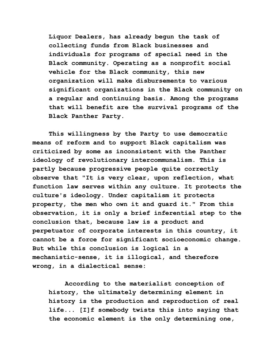**Liquor Dealers, has already begun the task of collecting funds from Black businesses and individuals for programs of special need in the Black community. Operating as a nonprofit social vehicle for the Black community, this new organization will make disbursements to various significant organizations in the Black community on a regular and continuing basis. Among the programs that will benefit are the survival programs of the Black Panther Party.**

**This willingness by the Party to use democratic means of reform and to support Black capitalism was criticized by some as inconsistent with the Panther ideology of revolutionary intercommunalism. This is partly because progressive people quite correctly observe that "It is very clear, upon reflection, what function law serves within any culture. It protects the culture's ideology. Under capitalism it protects property, the men who own it and guard it." From this observation, it is only a brief inferential step to the conclusion that, because law is a product and perpetuator of corporate interests in this country, it cannot be a force for significant socioeconomic change. But while this conclusion is logical in a mechanistic-sense, it is illogical, and therefore wrong, in a dialectical sense:**

**According to the materialist conception of history, the ultimately determining element in history is the production and reproduction of real life... [I]f somebody twists this into saying that the economic element is the only determining one,**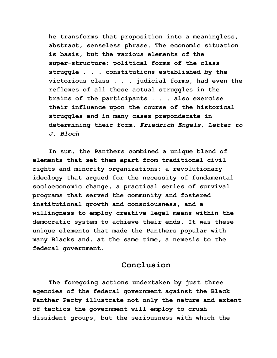**he transforms that proposition into a meaningless, abstract, senseless phrase. The economic situation is basis, but the various elements of the super-structure: political forms of the class struggle . . . constitutions established by the victorious class . . . judicial forms, had even the reflexes of all these actual struggles in the brains of the participants . . . also exercise their influence upon the course of the historical struggles and in many cases preponderate in determining their form.** *Friedrich Engels, Letter to J. Bloch*

**In sum, the Panthers combined a unique blend of elements that set them apart from traditional civil rights and minority organizations: a revolutionary ideology that argued for the necessity of fundamental socioeconomic change, a practical series of survival programs that served the community and fostered institutional growth and consciousness, and a willingness to employ creative legal means within the democratic system to achieve their ends. It was these unique elements that made the Panthers popular with many Blacks and, at the same time, a nemesis to the federal government.**

#### **Conclusion**

**The foregoing actions undertaken by just three agencies of the federal government against the Black Panther Party illustrate not only the nature and extent of tactics the government will employ to crush dissident groups, but the seriousness with which the**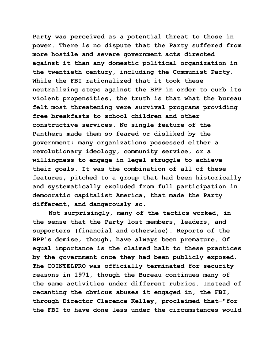**Party was perceived as a potential threat to those in power. There is no dispute that the Party suffered from more hostile and severe government acts directed against it than any domestic political organization in the twentieth century, including the Communist Party. While the FBI rationalized that it took these neutralizing steps against the BPP in order to curb its violent propensities, the truth is that what the bureau felt most threatening were survival programs providing free breakfasts to school children and other constructive services. No single feature of the Panthers made them so feared or disliked by the government; many organizations possessed either a revolutionary ideology, community service, or a willingness to engage in legal struggle to achieve their goals. It was the combination of all of these features, pitched to a group that had been historically and systematically excluded from full participation in democratic capitalist America, that made the Party different, and dangerously so.**

**Not surprisingly, many of the tactics worked, in the sense that the Party lost members, leaders, and supporters (financial and otherwise). Reports of the BPP's demise, though, have always been premature. Of equal importance is the claimed halt to these practices by the government once they had been publicly exposed. The COINTELPRO was officially terminated for security reasons in 1971, though the Bureau continues many of the same activities under different rubrics. Instead of recanting the obvious abuses it engaged in, the FBI, through Director Clarence Kelley, proclaimed that—"for the FBI to have done less under the circumstances would**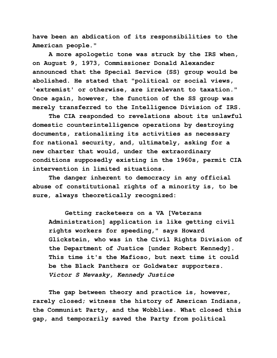**have been an abdication of its responsibilities to the American people."**

**A more apologetic tone was struck by the IRS when, on August 9, 1973, Commissioner Donald Alexander announced that the Special Service (SS) group would be abolished. He stated that "political or social views, 'extremist' or otherwise, are irrelevant to taxation." Once again, however, the function of the SS group was merely transferred to the Intelligence Division of IRS.**

**The CIA responded to revelations about its unlawful domestic counterintelligence operations by destroying documents, rationalizing its activities as necessary for national security, and, ultimately, asking for a new charter that would, under the extraordinary conditions supposedly existing in the 1960s, permit CIA intervention in limited situations.**

**The danger inherent to democracy in any official abuse of constitutional rights of a minority is, to be sure, always theoretically recognized:**

**Getting racketeers on a VA [Veterans Administration] application is like getting civil rights workers for speeding," says Howard Glickstein, who was in the Civil Rights Division of the Department of Justice [under Robert Kennedy]. This time it's the Mafioso, but next time it could be the Black Panthers or Goldwater supporters.** *Victor S Nevasky, Kennedy Justice*

**The gap between theory and practice is, however, rarely closed; witness the history of American Indians, the Communist Party, and the Wobblies. What closed this gap, and temporarily saved the Party from political**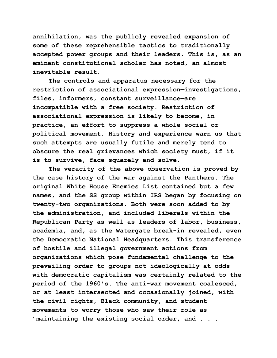**annihilation, was the publicly revealed expansion of some of these reprehensible tactics to traditionally accepted power groups and their leaders. This is, as an eminent constitutional scholar has noted, an almost inevitable result.**

**The controls and apparatus necessary for the restriction of associational expression—investigations, files, informers, constant surveillance—are incompatible with a free society. Restriction of associational expression is likely to become, in practice, an effort to suppress a whole social or political movement. History and experience warn us that such attempts are usually futile and merely tend to obscure the real grievances which society must, if it is to survive, face squarely and solve.**

**The veracity of the above observation is proved by the case history of the war against the Panthers. The original White House Enemies List contained but a few names, and the SS group within IRS began by focusing on twenty-two organizations. Both were soon added to by the administration, and included liberals within the Republican Party as well as leaders of labor, business, academia, and, as the Watergate break-in revealed, even the Democratic National Headquarters. This transference of hostile and illegal government actions from organizations which pose fundamental challenge to the prevailing order to groups not ideologically at odds with democratic capitalism was certainly related to the period of the 1960's. The anti-war movement coalesced, or at least intersected and occasionally joined, with the civil rights, Black community, and student movements to worry those who saw their role as "maintaining the existing social order, and . . .**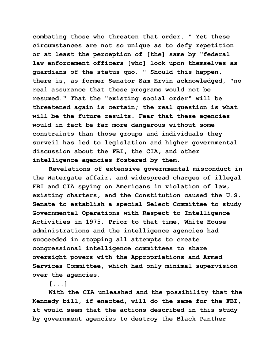**combating those who threaten that order. " Yet these circumstances are not so unique as to defy repetition or at least the perception of [the] same by "federal law enforcement officers [who] look upon themselves as guardians of the status quo. " Should this happen, there is, as former Senator Sam Ervin acknowledged, "no real assurance that these programs would not be resumed." That the "existing social order" will be threatened again is certain; the real question is what will be the future results. Fear that these agencies would in fact be far more dangerous without some constraints than those groups and individuals they surveil has led to legislation and higher governmental discussion about the FBI, the CIA, and other intelligence agencies fostered by them.**

**Revelations of extensive governmental misconduct in the Watergate affair, and widespread charges of illegal FBI and CIA spying on Americans in violation of law, existing charters, and the Constitution caused the U.S. Senate to establish a special Select Committee to study Governmental Operations with Respect to Intelligence Activities in 1975. Prior to that time, White House administrations and the intelligence agencies had succeeded in stopping all attempts to create congressional intelligence committees to share oversight powers with the Appropriations and Armed Services Committee, which had only minimal supervision over the agencies.**

**[...]**

**With the CIA unleashed and the possibility that the Kennedy bill, if enacted, will do the same for the FBI, it would seem that the actions described in this study by government agencies to destroy the Black Panther**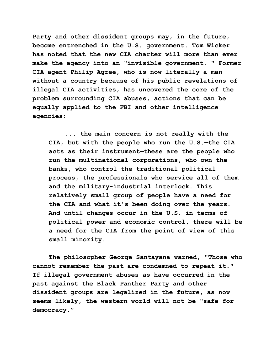**Party and other dissident groups may, in the future, become entrenched in the U.S. government. Tom Wicker has noted that the new CIA charter will more than ever make the agency into an "invisible government. " Former CIA agent Philip Agree, who is now literally a man without a country because of his public revelations of illegal CIA activities, has uncovered the core of the problem surrounding CIA abuses, actions that can be equally applied to the FBI and other intelligence agencies:**

**... the main concern is not really with the CIA, but with the people who run the U.S.—the CIA acts as their instrument—these are the people who run the multinational corporations, who own the banks, who control the traditional political process, the professionals who service all of them and the military-industrial interlock. This relatively small group of people have a need for the CIA and what it's been doing over the years. And until changes occur in the U.S. in terms of political power and economic control, there will be a need for the CIA from the point of view of this small minority.**

**The philosopher George Santayana warned, "Those who cannot remember the past are condemned to repeat it." If illegal government abuses as have occurred in the past against the Black Panther Party and other dissident groups are legalized in the future, as now seems likely, the western world will not be "safe for democracy."**